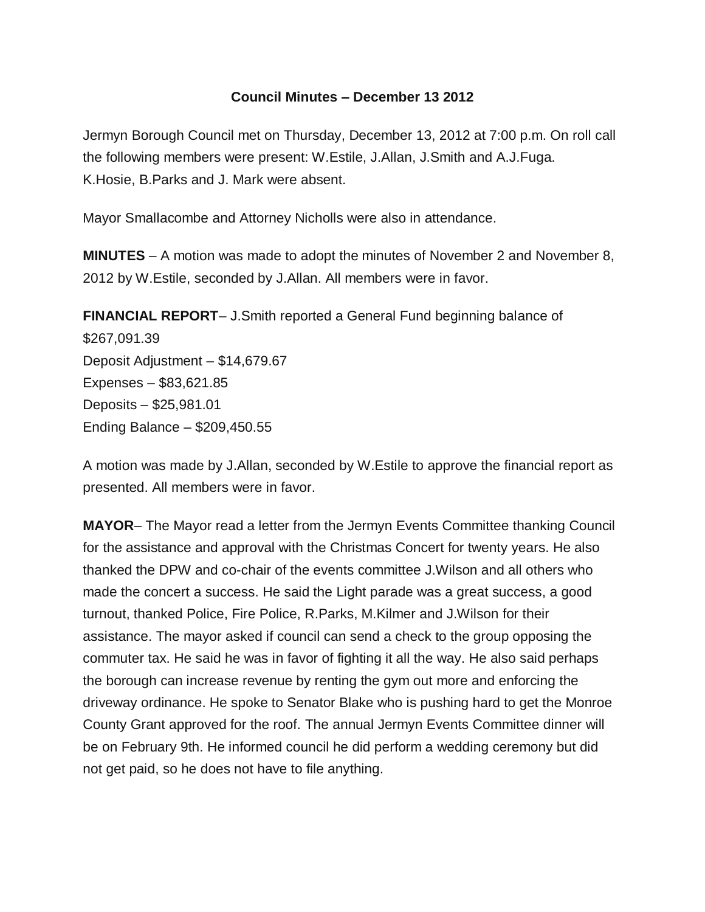## **Council Minutes – December 13 2012**

Jermyn Borough Council met on Thursday, December 13, 2012 at 7:00 p.m. On roll call the following members were present: W.Estile, J.Allan, J.Smith and A.J.Fuga. K.Hosie, B.Parks and J. Mark were absent.

Mayor Smallacombe and Attorney Nicholls were also in attendance.

**MINUTES** – A motion was made to adopt the minutes of November 2 and November 8, 2012 by W.Estile, seconded by J.Allan. All members were in favor.

**FINANCIAL REPORT**– J.Smith reported a General Fund beginning balance of \$267,091.39 Deposit Adjustment – \$14,679.67 Expenses – \$83,621.85 Deposits – \$25,981.01 Ending Balance – \$209,450.55

A motion was made by J.Allan, seconded by W.Estile to approve the financial report as presented. All members were in favor.

**MAYOR**– The Mayor read a letter from the Jermyn Events Committee thanking Council for the assistance and approval with the Christmas Concert for twenty years. He also thanked the DPW and co-chair of the events committee J.Wilson and all others who made the concert a success. He said the Light parade was a great success, a good turnout, thanked Police, Fire Police, R.Parks, M.Kilmer and J.Wilson for their assistance. The mayor asked if council can send a check to the group opposing the commuter tax. He said he was in favor of fighting it all the way. He also said perhaps the borough can increase revenue by renting the gym out more and enforcing the driveway ordinance. He spoke to Senator Blake who is pushing hard to get the Monroe County Grant approved for the roof. The annual Jermyn Events Committee dinner will be on February 9th. He informed council he did perform a wedding ceremony but did not get paid, so he does not have to file anything.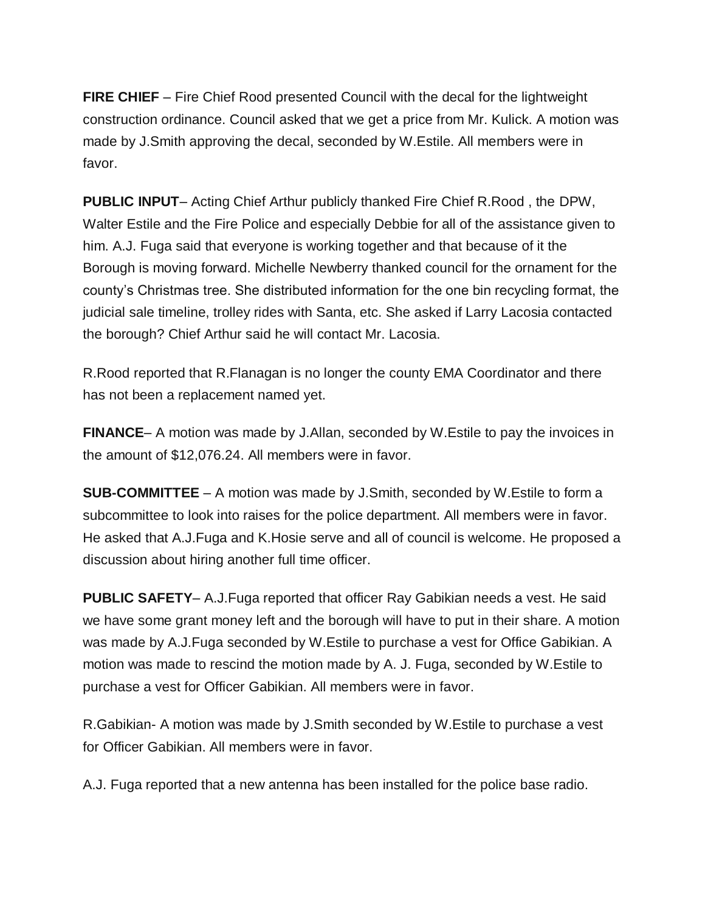**FIRE CHIEF** – Fire Chief Rood presented Council with the decal for the lightweight construction ordinance. Council asked that we get a price from Mr. Kulick. A motion was made by J.Smith approving the decal, seconded by W.Estile. All members were in favor.

**PUBLIC INPUT**– Acting Chief Arthur publicly thanked Fire Chief R.Rood , the DPW, Walter Estile and the Fire Police and especially Debbie for all of the assistance given to him. A.J. Fuga said that everyone is working together and that because of it the Borough is moving forward. Michelle Newberry thanked council for the ornament for the county's Christmas tree. She distributed information for the one bin recycling format, the judicial sale timeline, trolley rides with Santa, etc. She asked if Larry Lacosia contacted the borough? Chief Arthur said he will contact Mr. Lacosia.

R.Rood reported that R.Flanagan is no longer the county EMA Coordinator and there has not been a replacement named yet.

**FINANCE**– A motion was made by J.Allan, seconded by W.Estile to pay the invoices in the amount of \$12,076.24. All members were in favor.

**SUB-COMMITTEE** – A motion was made by J.Smith, seconded by W.Estile to form a subcommittee to look into raises for the police department. All members were in favor. He asked that A.J.Fuga and K.Hosie serve and all of council is welcome. He proposed a discussion about hiring another full time officer.

**PUBLIC SAFETY**– A.J.Fuga reported that officer Ray Gabikian needs a vest. He said we have some grant money left and the borough will have to put in their share. A motion was made by A.J.Fuga seconded by W.Estile to purchase a vest for Office Gabikian. A motion was made to rescind the motion made by A. J. Fuga, seconded by W.Estile to purchase a vest for Officer Gabikian. All members were in favor.

R.Gabikian- A motion was made by J.Smith seconded by W.Estile to purchase a vest for Officer Gabikian. All members were in favor.

A.J. Fuga reported that a new antenna has been installed for the police base radio.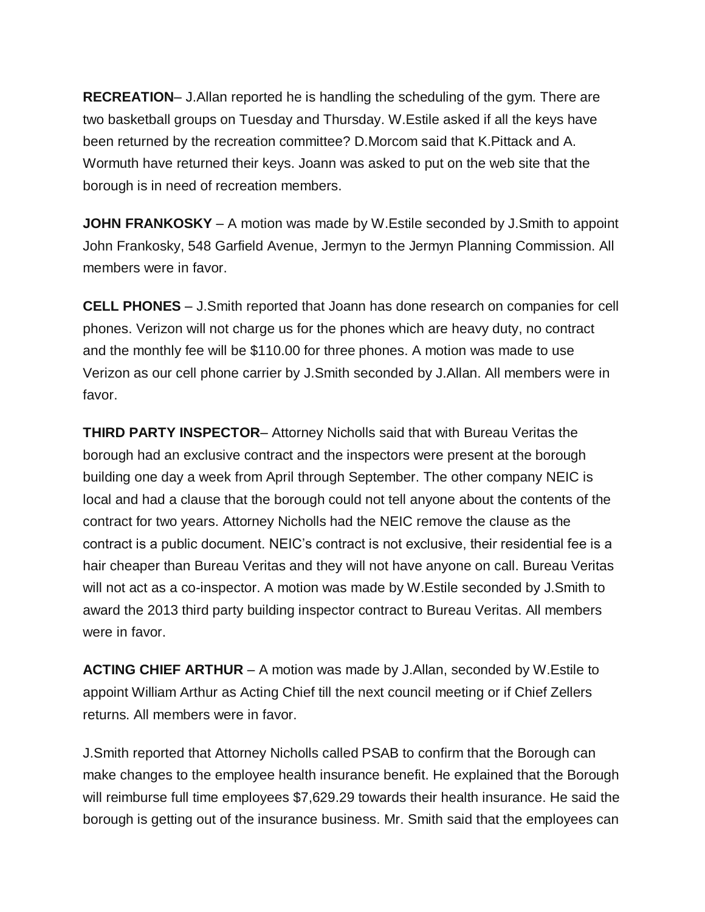**RECREATION**– J.Allan reported he is handling the scheduling of the gym. There are two basketball groups on Tuesday and Thursday. W.Estile asked if all the keys have been returned by the recreation committee? D.Morcom said that K.Pittack and A. Wormuth have returned their keys. Joann was asked to put on the web site that the borough is in need of recreation members.

**JOHN FRANKOSKY** – A motion was made by W.Estile seconded by J.Smith to appoint John Frankosky, 548 Garfield Avenue, Jermyn to the Jermyn Planning Commission. All members were in favor.

**CELL PHONES** – J.Smith reported that Joann has done research on companies for cell phones. Verizon will not charge us for the phones which are heavy duty, no contract and the monthly fee will be \$110.00 for three phones. A motion was made to use Verizon as our cell phone carrier by J.Smith seconded by J.Allan. All members were in favor.

**THIRD PARTY INSPECTOR**– Attorney Nicholls said that with Bureau Veritas the borough had an exclusive contract and the inspectors were present at the borough building one day a week from April through September. The other company NEIC is local and had a clause that the borough could not tell anyone about the contents of the contract for two years. Attorney Nicholls had the NEIC remove the clause as the contract is a public document. NEIC's contract is not exclusive, their residential fee is a hair cheaper than Bureau Veritas and they will not have anyone on call. Bureau Veritas will not act as a co-inspector. A motion was made by W.Estile seconded by J.Smith to award the 2013 third party building inspector contract to Bureau Veritas. All members were in favor.

**ACTING CHIEF ARTHUR** – A motion was made by J.Allan, seconded by W.Estile to appoint William Arthur as Acting Chief till the next council meeting or if Chief Zellers returns. All members were in favor.

J.Smith reported that Attorney Nicholls called PSAB to confirm that the Borough can make changes to the employee health insurance benefit. He explained that the Borough will reimburse full time employees \$7,629.29 towards their health insurance. He said the borough is getting out of the insurance business. Mr. Smith said that the employees can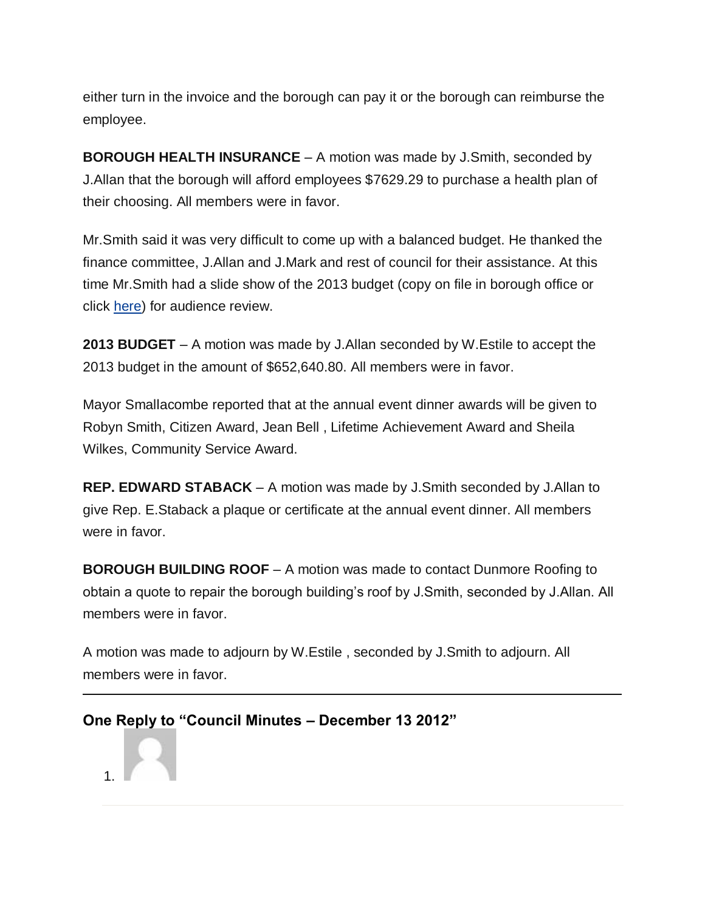either turn in the invoice and the borough can pay it or the borough can reimburse the employee.

**BOROUGH HEALTH INSURANCE** – A motion was made by J.Smith, seconded by J.Allan that the borough will afford employees \$7629.29 to purchase a health plan of their choosing. All members were in favor.

Mr.Smith said it was very difficult to come up with a balanced budget. He thanked the finance committee, J.Allan and J.Mark and rest of council for their assistance. At this time Mr.Smith had a slide show of the 2013 budget (copy on file in borough office or click [here\)](https://jermynpa.com/information/2012-budget-2) for audience review.

**2013 BUDGET** – A motion was made by J.Allan seconded by W.Estile to accept the 2013 budget in the amount of \$652,640.80. All members were in favor.

Mayor Smallacombe reported that at the annual event dinner awards will be given to Robyn Smith, Citizen Award, Jean Bell , Lifetime Achievement Award and Sheila Wilkes, Community Service Award.

**REP. EDWARD STABACK** – A motion was made by J.Smith seconded by J.Allan to give Rep. E.Staback a plaque or certificate at the annual event dinner. All members were in favor.

**BOROUGH BUILDING ROOF** – A motion was made to contact Dunmore Roofing to obtain a quote to repair the borough building's roof by J.Smith, seconded by J.Allan. All members were in favor.

A motion was made to adjourn by W.Estile , seconded by J.Smith to adjourn. All members were in favor.

## **One Reply to "Council Minutes – December 13 2012"**

1.